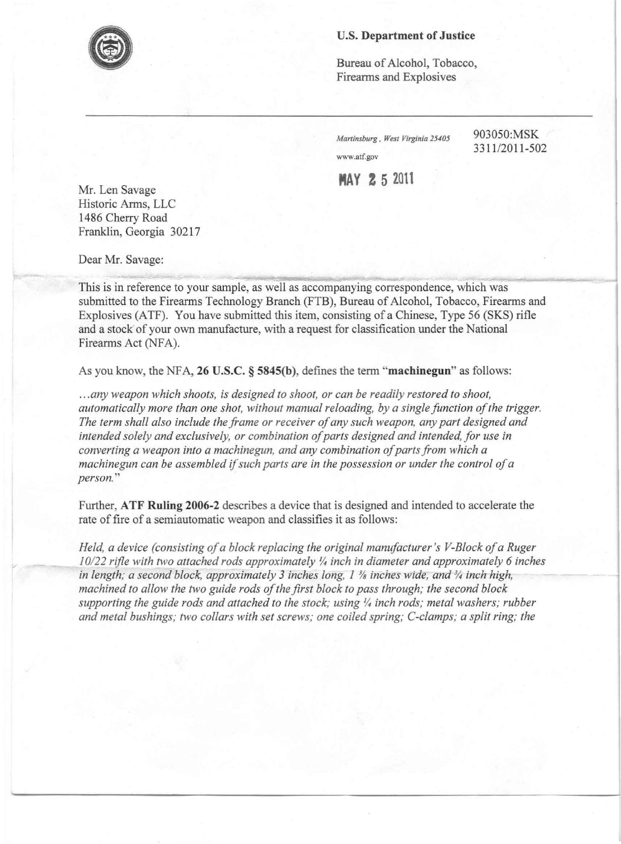## **u.s. Department of Justice**

Bureau of Alcohol, Tobacco, Firearms and Explosives

*Martinsburg , West Virginia 25405* 903050:MSK [www.atf.gov](http://www.atf.gov)

*3311/2011-502*

----

**MAY 2 5 <sup>2011</sup>**

Mr. Len Savage Historic Arms, LLC 1486 Cherry Road Franklin, Georgia 30217

Dear Mr. Savage:

'/

This is in reference to your sample, as well as accompanying correspondence, which was submitted to the Firearms Technology Branch (FTB), Bureau of Alcohol, Tobacco, Firearms and Explosives (ATF). You have submitted this item, consisting of a Chinese, Type 56 (SKS) rifle and a stock of your own manufacture, with a request for classification under the National Firearms Act (NFA).

As you know, the NF A, **26 U.S.C. § 5845(b),** defmes the term **"machinegun"** as follows:

- -~=.......\_\_.\_ ,-~, '--~~ - ..\_\_ **---..!!Io\_-'l::l... ~"',.50 \_-\_ ~\_**

*... any weapon which shoots, is designed to shoot, or can be readily restored to shoot, automatically more than one shot, without manual reloading, by a single function of the trigger. The term shall also include the frame or receiver of any such weapon, any part designed and intended solely and exclusively, or combination of parts designed and intended, for use in converting a weapon into a machinegun, and any combination of parts from which a machinegun can be assembled if such parts are in the possession or under the control of a person. "*

Further, **ATF Ruling 2006-2** describes a device that is designed and intended to accelerate the rate of fire of a semiautomatic weapon and classifies it as follows:

*Held, a device (consisting of a block replacing the original manufacturer's V-Block of a Ruger 10/22 rifle with two attached rods approximately ~ inch in diameter and approximately* 6 *inches in length; a second block, approximately* 3 *inches long,* 1 % *inches Wide, tina* % *inch-high, machined to allow the two guide rods of the first block to pass through; the second block* supporting the guide rods and attached to the stock; using  $\frac{1}{4}$  inch rods; metal washers; rubber *and metal bushings; two collars with set screws; one coiled spring; C-clamps; a split ring; the*

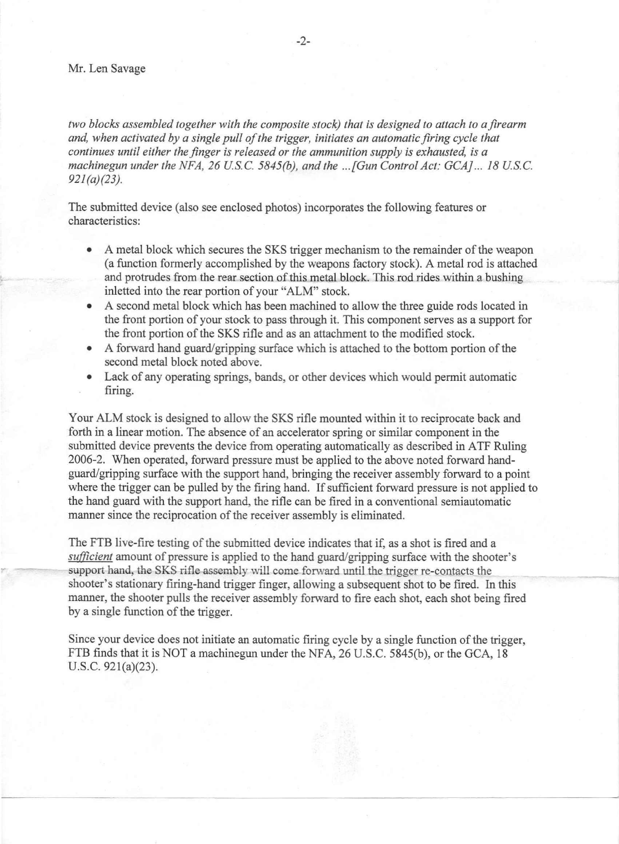*two blocks assembled together with the composite stock) that is designed to attach to afirearm and, when activated by a single pull of the trigger, initiates an automatic firing cycle that continues until either the finger is released or the ammunition supply is exhausted, is a machinegun under the NFA,* 26 *usc. 5845(b), and the ...fGun Control Act: GCAj. ..* 18 *USc. 921 (a)(23).*

The submitted device (also see enclosed photos) incorporates the following features or characteristics:

- A metal block which secures the SKS trigger mechanism to the remainder of the weapon (a function formerly accomplished by the weapons factory stock). A metal rod is attached and protrudes from the rear section of this metal block. This rod rides within a bushing inletted into the rear portion of your "ALM" stock.
- A second metal block which has been machined to allow the three guide rods located in the front portion of your stock to pass through it. This component serves as a support for the front portion of the SKS rifle and as an attachment to the modified stock.
- A forward hand guard/gripping surface which is attached to the bottom portion of the second metal block noted above.
- Lack of any operating springs, bands, or other devices which would permit automatic firing.

Your ALM stock is designed to allow the SKS rifle mounted within it to reciprocate back and forth in a linear motion. The absence of an accelerator spring or similar component in the submitted device prevents the device from operating automatically as described in ATF Ruling 2006-2. When operated, forward pressure must be applied to the above noted forward handguard/gripping surface with the support hand, bringing the receiver assembly forward to a point where the trigger can be pulled by the firing hand. If sufficient forward pressure is not applied to the hand guard with the support hand, the rifle can be fired in a conventional semiautomatic manner since the reciprocation of the receiver assembly is eliminated.

The FTB live-fire testing of the submitted device indicates that if, as a shot is fired and a *sufficient* amount of pressure is applied to the hand guard/gripping surface with the shooter's support hand, the SKS rifle assembly will come forward until the trigger re-contacts the shooter's stationary firing-hand trigger fmger, allowing a subsequent shot to be fired. Inthis manner, the shooter pulls the receiver assembly forward to fire each shot, each shot being fired by a single function of the trigger.

Since your device does not initiate an automatic firing cycle by a single function of the trigger, FTB finds that it is NOT a machine gun under the NFA, 26 U.S.C. 5845(b), or the GCA, 18 U.S.c. 921(a)(23).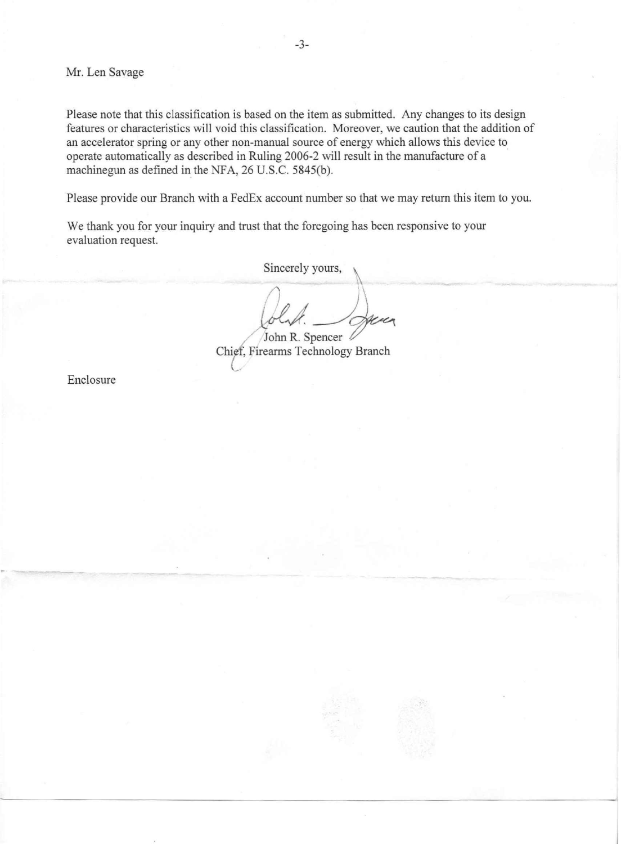Mr. Len Savage

Please note that this classification is based on the item as submitted. Any changes to its design features or characteristics will void this classification. Moreover, we caution that the addition of an accelerator spring or any other non-manual source of energy which allows this device to operate automatically as described in Ruling 2006-2 will result in the manufacture of a machine gun as defined in the NFA, 26 U.S.C. 5845(b).

Please provide our Branch with a FedEx account number so that we may return this item to you.

We thank you for your inquiry and trust that the foregoing has been responsive to your evaluation request.

Sincerely yours,

folio R. Spencer<br>*Firearms Technology Branch* 

Enclosure